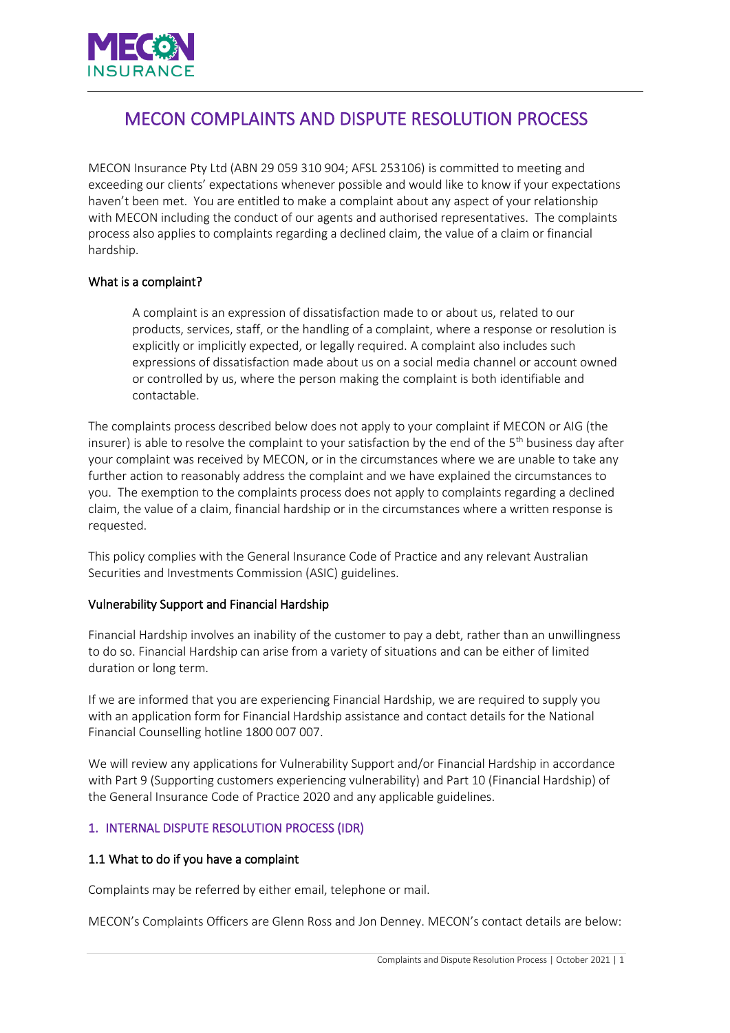

# MECON COMPLAINTS AND DISPUTE RESOLUTION PROCESS

MECON Insurance Pty Ltd (ABN 29 059 310 904; AFSL 253106) is committed to meeting and exceeding our clients' expectations whenever possible and would like to know if your expectations haven't been met. You are entitled to make a complaint about any aspect of your relationship with MECON including the conduct of our agents and authorised representatives. The complaints process also applies to complaints regarding a declined claim, the value of a claim or financial hardship.

## What is a complaint?

A complaint is an expression of dissatisfaction made to or about us, related to our products, services, staff, or the handling of a complaint, where a response or resolution is explicitly or implicitly expected, or legally required. A complaint also includes such expressions of dissatisfaction made about us on a social media channel or account owned or controlled by us, where the person making the complaint is both identifiable and contactable.

The complaints process described below does not apply to your complaint if MECON or AIG (the insurer) is able to resolve the complaint to your satisfaction by the end of the 5<sup>th</sup> business day after your complaint was received by MECON, or in the circumstances where we are unable to take any further action to reasonably address the complaint and we have explained the circumstances to you. The exemption to the complaints process does not apply to complaints regarding a declined claim, the value of a claim, financial hardship or in the circumstances where a written response is requested.

This policy complies with the General Insurance Code of Practice and any relevant Australian Securities and Investments Commission (ASIC) guidelines.

#### Vulnerability Support and Financial Hardship

Financial Hardship involves an inability of the customer to pay a debt, rather than an unwillingness to do so. Financial Hardship can arise from a variety of situations and can be either of limited duration or long term.

If we are informed that you are experiencing Financial Hardship, we are required to supply you with an application form for Financial Hardship assistance and contact details for the National Financial Counselling hotline 1800 007 007.

We will review any applications for Vulnerability Support and/or Financial Hardship in accordance with Part 9 (Supporting customers experiencing vulnerability) and Part 10 (Financial Hardship) of the General Insurance Code of Practice 2020 and any applicable guidelines.

## 1. INTERNAL DISPUTE RESOLUTION PROCESS (IDR)

#### 1.1 What to do if you have a complaint

Complaints may be referred by either email, telephone or mail.

MECON's Complaints Officers are Glenn Ross and Jon Denney. MECON's contact details are below: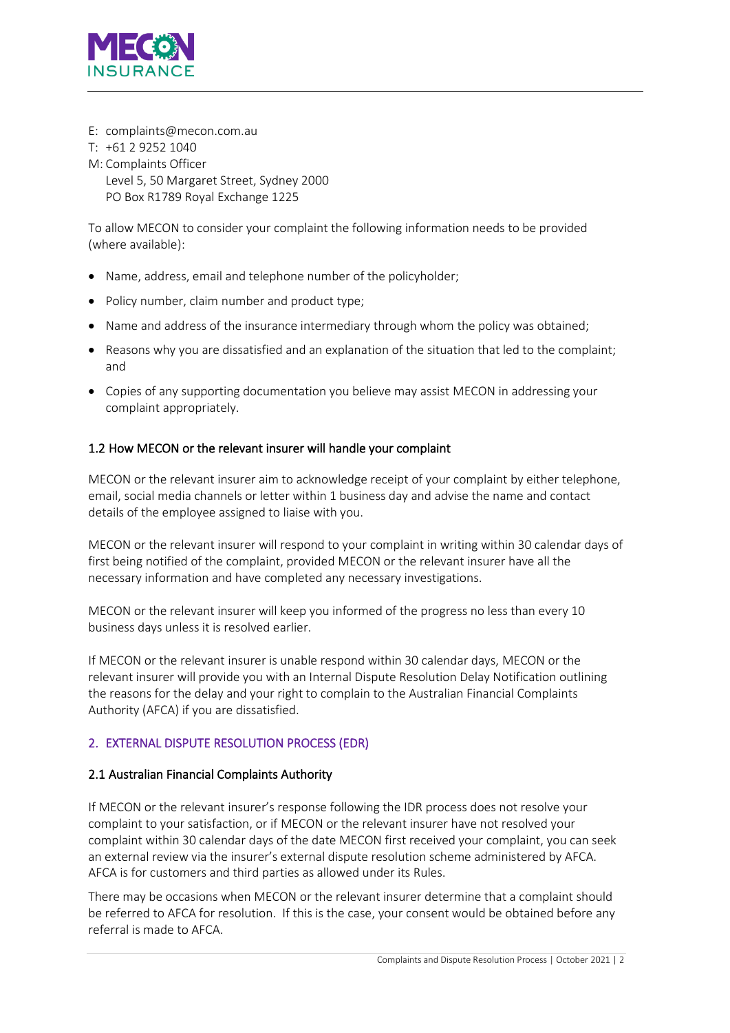

E: complaints@mecon.com.au T: +61 2 9252 1040 M: Complaints Officer Level 5, 50 Margaret Street, Sydney 2000 PO Box R1789 Royal Exchange 1225

To allow MECON to consider your complaint the following information needs to be provided (where available):

- Name, address, email and telephone number of the policyholder;
- Policy number, claim number and product type;
- Name and address of the insurance intermediary through whom the policy was obtained;
- Reasons why you are dissatisfied and an explanation of the situation that led to the complaint; and
- Copies of any supporting documentation you believe may assist MECON in addressing your complaint appropriately.

### 1.2 How MECON or the relevant insurer will handle your complaint

MECON or the relevant insurer aim to acknowledge receipt of your complaint by either telephone, email, social media channels or letter within 1 business day and advise the name and contact details of the employee assigned to liaise with you.

MECON or the relevant insurer will respond to your complaint in writing within 30 calendar days of first being notified of the complaint, provided MECON or the relevant insurer have all the necessary information and have completed any necessary investigations.

MECON or the relevant insurer will keep you informed of the progress no less than every 10 business days unless it is resolved earlier.

If MECON or the relevant insurer is unable respond within 30 calendar days, MECON or the relevant insurer will provide you with an Internal Dispute Resolution Delay Notification outlining the reasons for the delay and your right to complain to the Australian Financial Complaints Authority (AFCA) if you are dissatisfied.

## 2. EXTERNAL DISPUTE RESOLUTION PROCESS (EDR)

#### 2.1 Australian Financial Complaints Authority

If MECON or the relevant insurer's response following the IDR process does not resolve your complaint to your satisfaction, or if MECON or the relevant insurer have not resolved your complaint within 30 calendar days of the date MECON first received your complaint, you can seek an external review via the insurer's external dispute resolution scheme administered by AFCA. AFCA is for customers and third parties as allowed under its Rules.

There may be occasions when MECON or the relevant insurer determine that a complaint should be referred to AFCA for resolution. If this is the case, your consent would be obtained before any referral is made to AFCA.